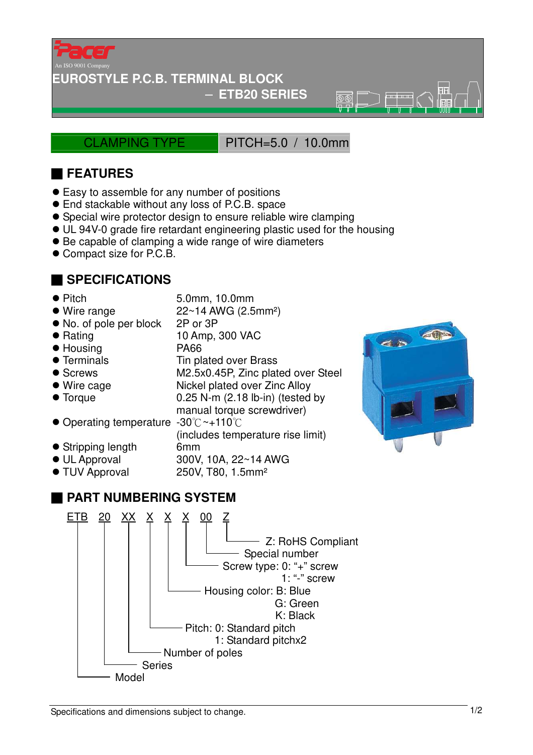

### **EUROSTYLE P.C.B. TERMINAL BLOCK**

### − **ETB20 SERIES**

CLAMPING TYPE PITCH=5.0 / 10.0mm

 $\overline{\mathbb{R}}\overline{\mathbb{R}}$ 

# ■ **FEATURES**

- Easy to assemble for any number of positions
- End stackable without any loss of P.C.B. space
- Special wire protector design to ensure reliable wire clamping
- UL 94V-0 grade fire retardant engineering plastic used for the housing
- Be capable of clamping a wide range of wire diameters
- Compact size for P.C.B.

# ■ **SPECIFICATIONS**

- 
- Pitch 5.0mm, 10.0mm

(includes temperature rise limit)

- $\bullet$  Wire range  $22 \sim 14$  AWG (2.5mm<sup>2</sup>)
- No. of pole per block 2P or 3P
- Rating 10 Amp, 300 VAC
- Housing PA66
- Terminals Tin plated over Brass
- Screws M2.5x0.45P, Zinc plated over Steel
- Wire cage Nickel plated over Zinc Alloy
- Torque 0.25 N-m (2.18 lb-in) (tested by
- manual torque screwdriver) ● Operating temperature -30°C ~+110°C
- Stripping length 6mm
- UL Approval 300V, 10A, 22~14 AWG
- TUV Approval 250V, T80, 1.5mm<sup>2</sup>

## ■ **PART NUMBERING SYSTEM**